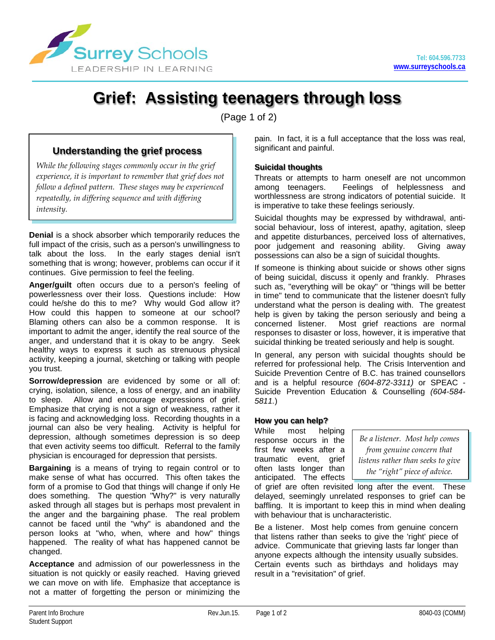

# **Grief: Assisting teenagers through loss**

(Page 1 of 2)

# **Understanding the grief process**

*While the following stages commonly occur in the grief experience, it is important to remember that grief does not follow a defined pattern. These stages may be experienced repeatedly, in differing sequence and with differing intensity.*

**Denial** is a shock absorber which temporarily reduces the full impact of the crisis, such as a person's unwillingness to talk about the loss. In the early stages denial isn't something that is wrong; however, problems can occur if it continues. Give permission to feel the feeling.

**Anger/guilt** often occurs due to a person's feeling of powerlessness over their loss. Questions include: How could he/she do this to me? Why would God allow it? How could this happen to someone at our school? Blaming others can also be a common response. It is important to admit the anger, identify the real source of the anger, and understand that it is okay to be angry. Seek healthy ways to express it such as strenuous physical activity, keeping a journal, sketching or talking with people you trust.

**Sorrow/depression** are evidenced by some or all of: crying, isolation, silence, a loss of energy, and an inability to sleep. Allow and encourage expressions of grief. Emphasize that crying is not a sign of weakness, rather it is facing and acknowledging loss. Recording thoughts in a journal can also be very healing. Activity is helpful for depression, although sometimes depression is so deep that even activity seems too difficult. Referral to the family physician is encouraged for depression that persists.

**Bargaining** is a means of trying to regain control or to make sense of what has occurred. This often takes the form of a promise to God that things will change if only He does something. The question "Why?" is very naturally asked through all stages but is perhaps most prevalent in the anger and the bargaining phase. The real problem cannot be faced until the "why" is abandoned and the person looks at "who, when, where and how" things happened. The reality of what has happened cannot be changed.

**Acceptance** and admission of our powerlessness in the situation is not quickly or easily reached. Having grieved we can move on with life. Emphasize that acceptance is not a matter of forgetting the person or minimizing the pain. In fact, it is a full acceptance that the loss was real, significant and painful.

## **Suicidal thoughts**

Threats or attempts to harm oneself are not uncommon<br>among teenagers. Feelings of helplessness and Feelings of helplessness and worthlessness are strong indicators of potential suicide. It is imperative to take these feelings seriously.

Suicidal thoughts may be expressed by withdrawal, antisocial behaviour, loss of interest, apathy, agitation, sleep and appetite disturbances, perceived loss of alternatives, poor judgement and reasoning ability. Giving away possessions can also be a sign of suicidal thoughts.

If someone is thinking about suicide or shows other signs of being suicidal, discuss it openly and frankly. Phrases such as, "everything will be okay" or "things will be better in time" tend to communicate that the listener doesn't fully understand what the person is dealing with. The greatest help is given by taking the person seriously and being a concerned listener. Most grief reactions are normal responses to disaster or loss, however, it is imperative that suicidal thinking be treated seriously and help is sought.

In general, any person with suicidal thoughts should be referred for professional help. The Crisis Intervention and Suicide Prevention Centre of B.C. has trained counsellors and is a helpful resource *(604-872-3311)* or SPEAC - Suicide Prevention Education & Counselling *(604-584- 5811.*)

## **How you can help?**

While most helping response occurs in the first few weeks after a traumatic event, grief often lasts longer than anticipated. The effects

*Be a listener. Most help comes from genuine concern that listens rather than seeks to give the "right" piece of advice.*

of grief are often revisited long after the event. These delayed, seemingly unrelated responses to grief can be baffling. It is important to keep this in mind when dealing with behaviour that is uncharacteristic.

Be a listener. Most help comes from genuine concern that listens rather than seeks to give the 'right' piece of advice. Communicate that grieving lasts far longer than anyone expects although the intensity usually subsides. Certain events such as birthdays and holidays may result in a "revisitation" of grief.